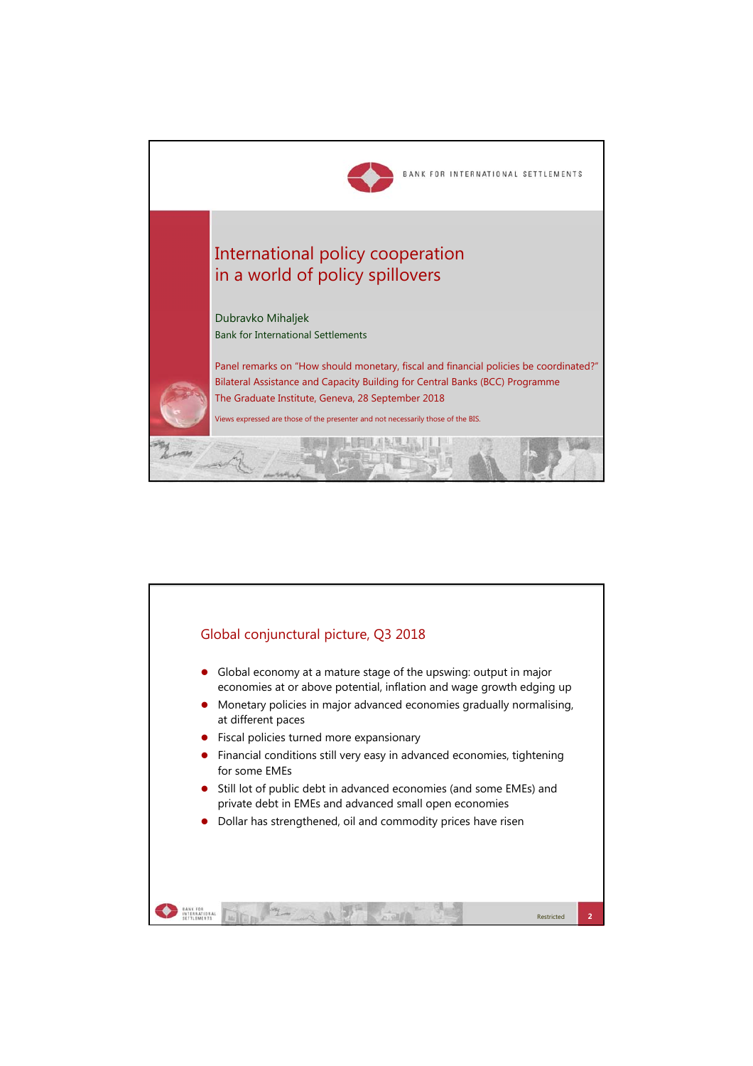

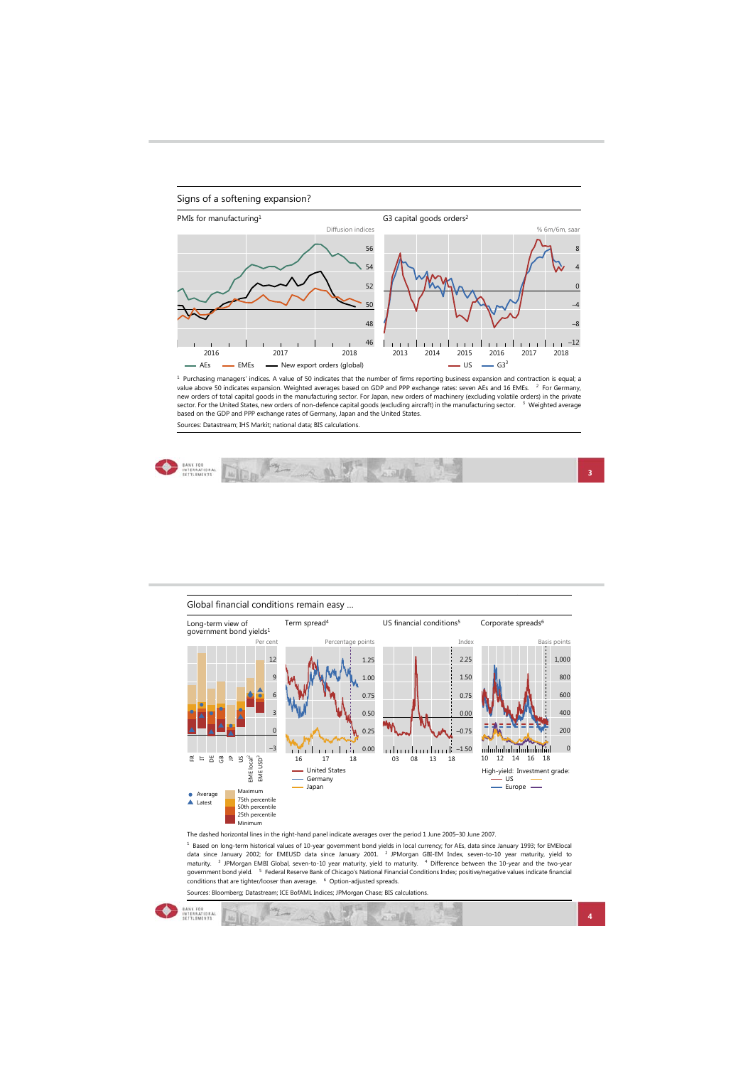## Signs of a softening expansion?



 $^1$  Purchasing managers' indices. A value of 50 indicates that the number of firms reporting business expansion and contraction is equal; a<br>value above 50 indicates expansion. Weighted averages based on GDP and PPP excha based on the GDP and PPP exchange rates of Germany, Japan and the United States. Sources: Datastream; IHS Markit; national data; BIS calculations.



| Long-term view of<br>government bond yields <sup>1</sup> |                                                                             | Term spread <sup>4</sup>     | US financial conditions <sup>5</sup> | Corporate spreads <sup>6</sup>          |
|----------------------------------------------------------|-----------------------------------------------------------------------------|------------------------------|--------------------------------------|-----------------------------------------|
|                                                          | Per cent                                                                    | Percentage points            | Index                                | Basis points                            |
|                                                          | 12                                                                          | 1.25                         | 2.25                                 | 1,000                                   |
|                                                          | 9                                                                           | 1.00                         | 1.50                                 | 800                                     |
|                                                          | 6                                                                           | 0.75                         | 0.75                                 | 600                                     |
|                                                          |                                                                             | 0.50                         | 0.00                                 | 400                                     |
|                                                          | $\Omega$                                                                    | 0.25                         | $-0.75$                              | 200                                     |
|                                                          | $-3$                                                                        | 0.00                         | $-1.50$<br>ilin ilm                  | 0                                       |
| ă<br>සී<br>$\approx$<br>S<br>뚠<br>E                      |                                                                             | 16<br>18<br>17               | 03<br>18<br>08<br>13                 | 10<br>12<br>18<br>14<br>16              |
|                                                          | $EME$ local <sup>2</sup><br>EME USD <sup>3</sup>                            | - United States<br>- Germany |                                      | High-yield: Investment grade:<br>$-$ US |
| Average<br>▲ Latest                                      | Maximum<br>75th percentile<br>50th percentile<br>25th percentile<br>Minimum | Japan                        |                                      | $-$ Europe $-$                          |

The dashed horizontal lines in the right-hand panel indicate averages over the period 1 June 2005–30 June 2007<br><sup>1</sup> Based on long-term historical values of 10-year government bond yields in local currency; for AEs, data sin Sources: Bloomberg; Datastream; ICE BofAML Indices; JPMorgan Chase; BIS calculations.

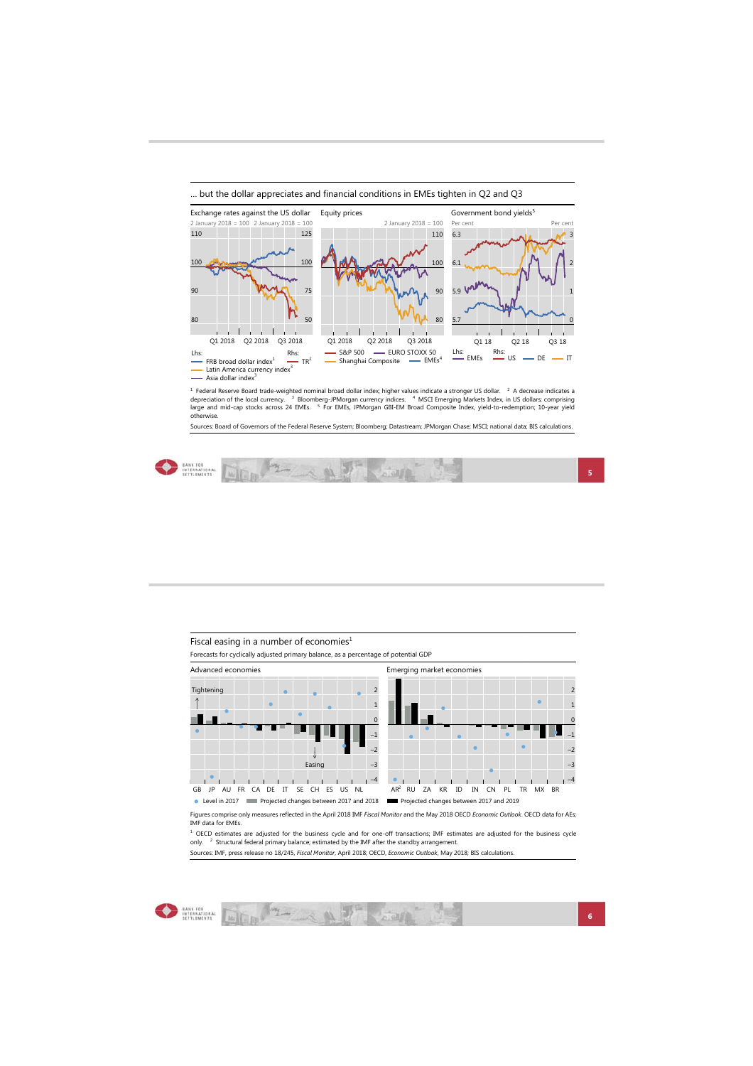



<sup>1</sup> Federal Reserve Board trade-weighted nominal broad dollar index; higher values indicate a stronger US dollar: <sup>2</sup> A decrease indicates a<br>depreciation of the local currency. <sup>3</sup> Bloomberg-JPMorgan currency indices. <sup>4</sup> otherwise.

Sources: Board of Governors of the Federal Reserve System; Bloomberg; Datastream; JPMorgan Chase; MSCI; national data; BIS calculations.





Figures comprise only measures reflected in the April 2018 IMF *Fiscal Monitor* and the May 2018 OECD *Economic Outlook*. OECD data for AEs; Level in 2017 **EXECUTE:** Projected changes between 2017 and 2018 **EXECUTE:** Projected changes between 2017 and 2019

IMF data for EMEs. <sup>1</sup> OECD estimates are adjusted for the business cycle and for one-off transactions; IMF estimates are adjusted for the business cycle<br>only. <sup>2</sup> Structural federal primary balance; estimated by the IMF after the standby ar

Sources: IMF, press release no 18/245, *Fiscal Monitor*, April 2018; OECD, *Economic Outlook*, May 2018; BIS calculations.



ANTENATIONAL AND THE COMPANY OF THE COMPANY OF THE COMPANY OF THE COMPANY OF THE COMPANY OF THE COMPANY OF THE COMPANY OF THE COMPANY OF THE COMPANY OF THE COMPANY OF THE COMPANY OF THE COMPANY OF THE COMPANY OF THE COMPAN **California**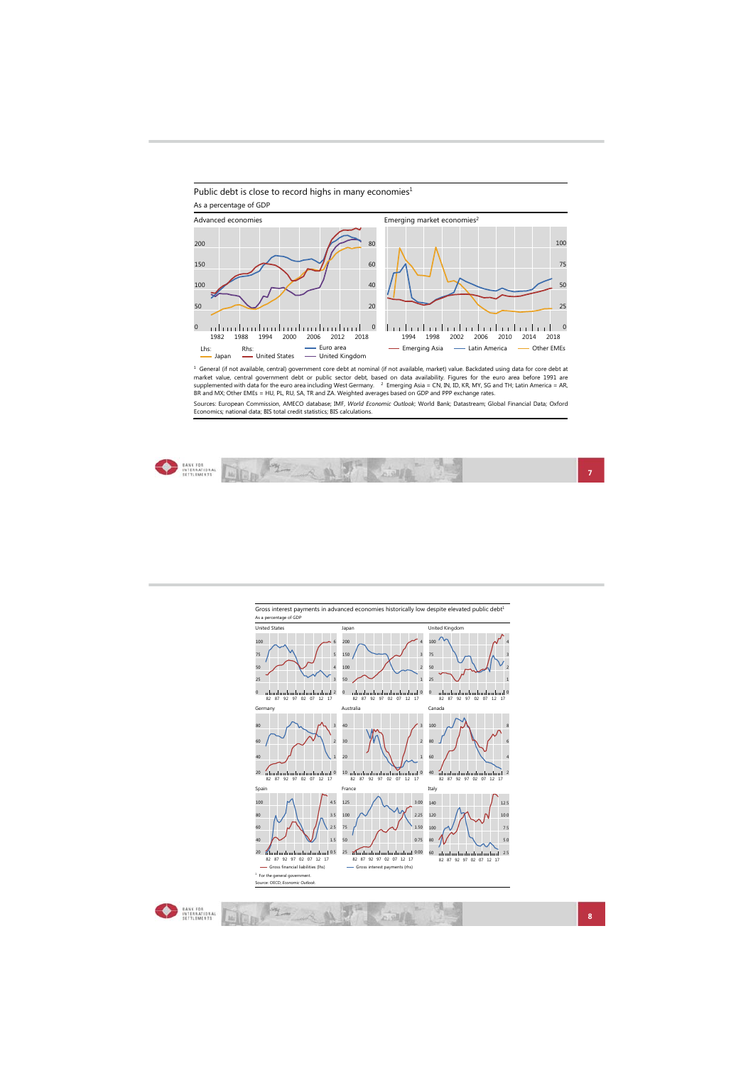



<sup>1</sup> General (if not available, central) government core debt at nominal (if not available, market) value. Backdated using data for core debt at<br>supplemented with data for the euro area including West Germany. <sup>2</sup> Emerging

Sources: European Commission, AMECO database; IMF, *World Economic Outlook*; World Bank; Datastream; Global Financial Data; Oxford<br>Economics; national data; BIS total credit statistics; BIS calculations.

|--|--|--|

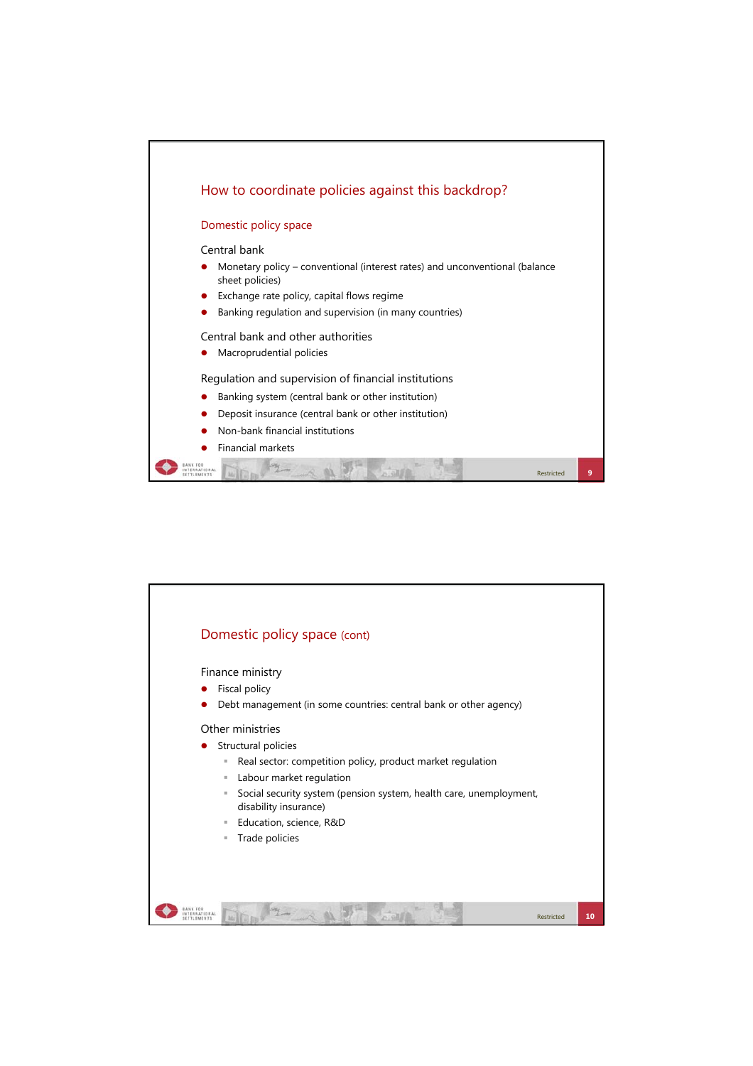

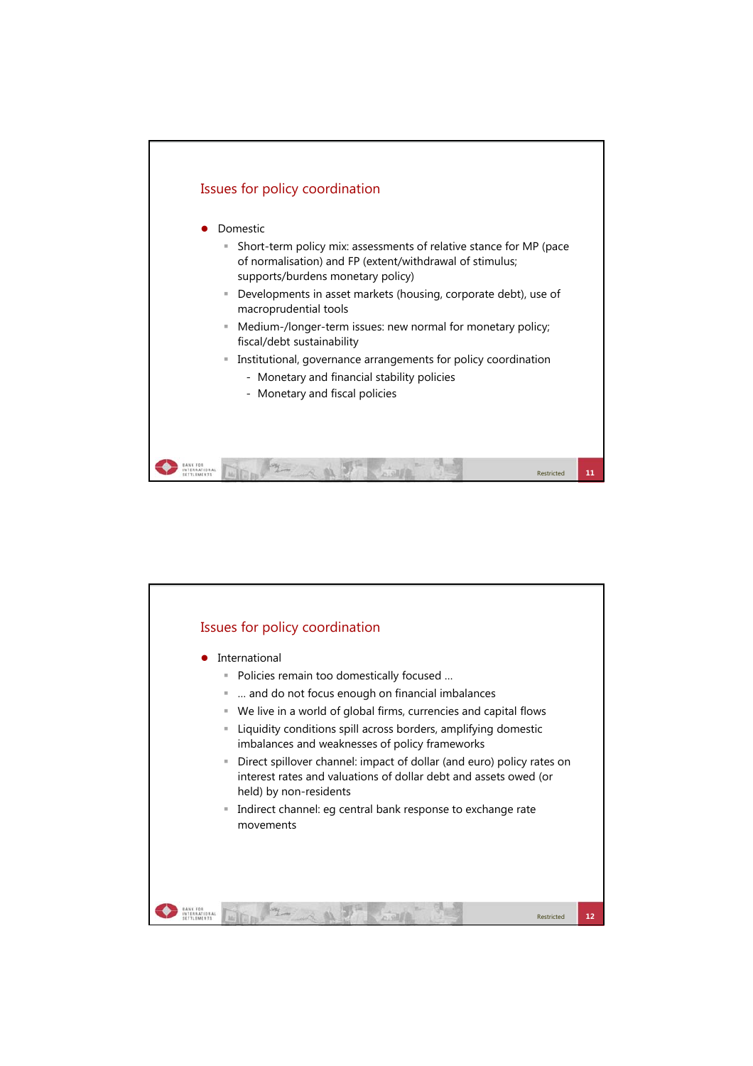

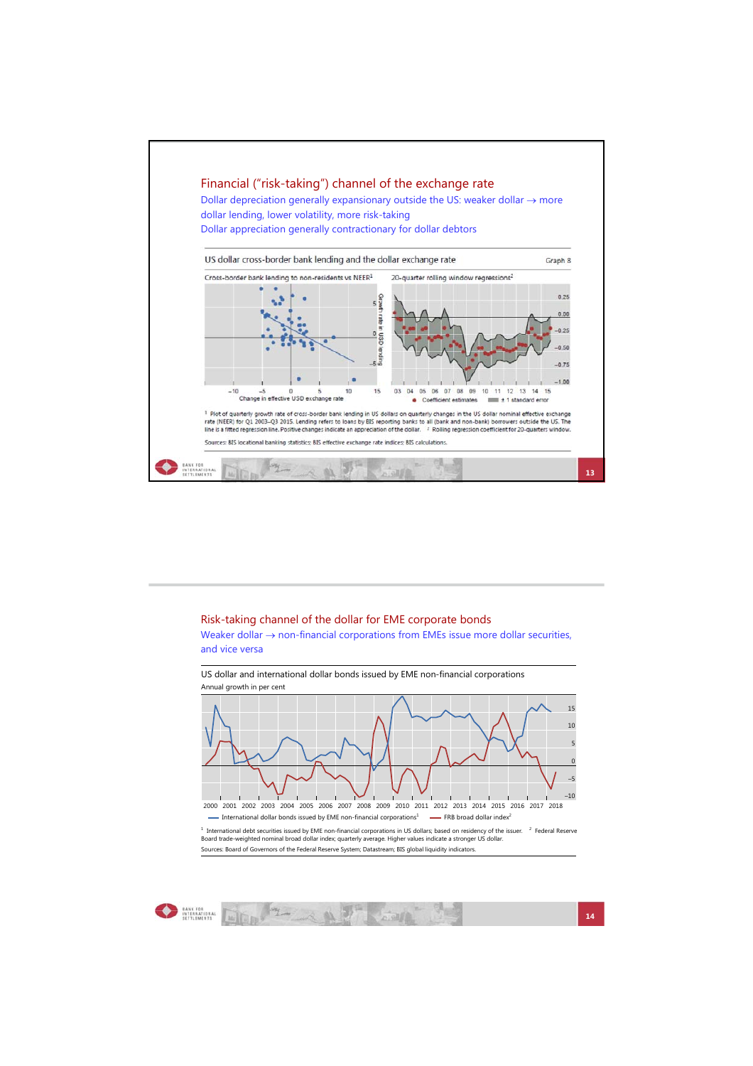

## Risk-taking channel of the dollar for EME corporate bonds

Weaker dollar  $\rightarrow$  non-financial corporations from EMEs issue more dollar securities, and vice versa

US dollar and international dollar bonds issued by EME non-financial corporations Annual growth in per cent



International dollar bonds issued by EME non-financial corporations<sup>1</sup> - FRB broad dollar index

<sup>1</sup> International debt securities issued by EME non-financial corporations in US dollars; based on residency of the issuer. <sup>2</sup> Federal Reserve<br>Board trade-weighted nominal broad dollar index; quarterly average. Higher val Sources: Board of Governors of the Federal Reserve System; Datastream; BIS global liquidity indicators.



**O** MARCH DE MARCH  $\sim$  at  $\beta$